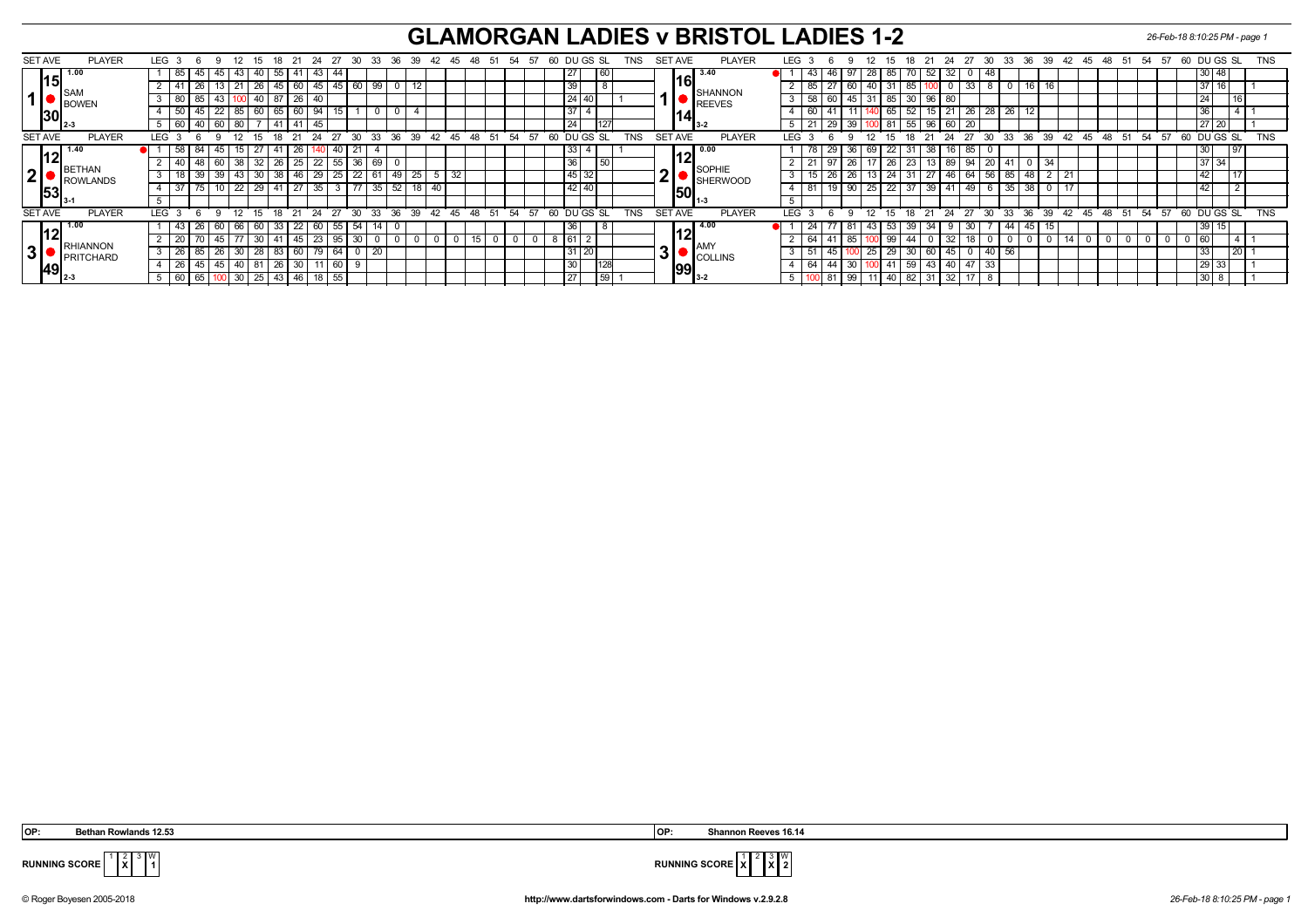## **GLAMORGAN LADIES v BRISTOL LADIES 1-2** *26-Feb-18 8:10:25 PM - page 1*

| <b>PLAYER</b><br><b>SET AVE</b>                     |  | LEG 3            |                  | 6    |              | -12                            |                     | -18               | - 21     | -24        | 27                   |     | - 30            | - 33            | 36 39 |                  | 42 45 |                  | 48 | -51 | 54    | - 57 | 60 |                 | DU GS SL     |                 | TNS        |   | SET AVE        |       | <b>PLAYER</b>           |  | LEG.             |                    |    | -12      | - 15                  | 18. |               | 24                | 27         | - 30            |                |              | 33 36 39 | 42 45 48          |      | -51 | 54 57 |    | 60 DU GS SL |                |    | <b>TNS</b> |
|-----------------------------------------------------|--|------------------|------------------|------|--------------|--------------------------------|---------------------|-------------------|----------|------------|----------------------|-----|-----------------|-----------------|-------|------------------|-------|------------------|----|-----|-------|------|----|-----------------|--------------|-----------------|------------|---|----------------|-------|-------------------------|--|------------------|--------------------|----|----------|-----------------------|-----|---------------|-------------------|------------|-----------------|----------------|--------------|----------|-------------------|------|-----|-------|----|-------------|----------------|----|------------|
| 15                                                  |  |                  | 85               | 45   |              | 45   43                        | 40                  | 55                | 41       |            | 43                   |     |                 |                 |       |                  |       |                  |    |     |       |      |    | 27              |              | 60              |            |   |                |       | 13.40                   |  |                  | 43                 | 46 | 97       | 28 <sub>1</sub><br>85 |     | 52            | 32                | 0          | 48              |                |              |          |                   |      |     |       |    |             | 30 48          |    |            |
| $\overline{\phantom{a}}$ ISAM                       |  |                  |                  |      |              |                                | 26                  | l 45 I            |          | 60         | 45                   | -45 | 60              | 99              |       |                  |       |                  |    |     |       |      |    | 39              |              | $\Omega$        |            |   |                | 161   | <b>SHANNON</b>          |  |                  | 85                 |    | 60       | 131<br>40             | 85  |               |                   | 33         |                 |                |              |          |                   |      |     |       |    |             | 3711           |    |            |
| $1$ $\bullet$ $\underset{\text{BOWEN}}{\text{SAM}}$ |  |                  | $3 \mid 80$      | 85   |              |                                | 40                  |                   |          | 26<br>- 40 |                      |     |                 |                 |       |                  |       |                  |    |     |       |      |    | $24$ 40         |              |                 |            |   |                |       | REEVES                  |  |                  | -58                |    | 45       | 31   85               | 30  | 96            |                   |            |                 |                |              |          |                   |      |     |       |    |             | 24             |    |            |
| 30                                                  |  |                  | 50               |      |              | 22   85                        |                     |                   | 60 65 60 |            | -94                  |     |                 |                 |       |                  |       |                  |    |     |       |      |    | 37              |              |                 |            |   |                | 14    |                         |  |                  |                    |    |          | 65                    |     | 52            | l 21              | 26         | $\overline{28}$ | 26             |              |          |                   |      |     |       |    |             |                |    |            |
|                                                     |  |                  | $5 \mid 60 \mid$ |      | 40   60   80 |                                |                     | l 41              | -41      |            | 45                   |     |                 |                 |       |                  |       |                  |    |     |       |      |    | $\overline{24}$ |              | ı∠              |            |   |                | l 3-2 |                         |  |                  | 21                 | 29 | 39       |                       |     |               | $100$ 81 55 96 60 | 20         |                 |                |              |          |                   |      |     |       |    |             | $\sqrt{27}$ 20 |    |            |
| <b>SET AVE</b><br><b>PLAYER</b>                     |  | LEG <sub>3</sub> |                  | . რ  | 9            | 12                             |                     |                   |          |            | 15 18 21 24 27 30 33 |     |                 |                 | 36 39 |                  |       | $42 \t 45 \t 48$ |    | 51  | 54 57 |      | 60 |                 | DU GS SL     |                 | <b>TNS</b> |   | <b>SET AVE</b> |       | <b>PLAYER</b>           |  | LEG <sup>®</sup> |                    |    | -9       |                       |     | 12 15 18 21   |                   | 24 27      |                 |                |              |          | 30 33 36 39 42 45 | 48   | 51  | 54    | 57 | 60 DUGS SL  |                |    | <b>TNS</b> |
| 4.40<br>12                                          |  |                  | 58               | 84   | 45 I         | 15 <sub>1</sub>                |                     |                   |          | 26         |                      | 40  | 21              |                 |       |                  |       |                  |    |     |       |      |    | 33 4            |              |                 |            |   |                |       | $\overline{0.00}$       |  |                  |                    | 29 | 36       | 69   22               | 31  | 38            |                   | 85         |                 |                |              |          |                   |      |     |       |    |             | 30             | 97 |            |
|                                                     |  |                  | 40               |      | 48 60 38     |                                |                     | $32 \mid 26 \mid$ | 25       |            | $\overline{22}$      | 55  | 36              | $\overline{69}$ |       |                  |       |                  |    |     |       |      |    | 36              |              | 50              |            |   |                |       | <b>SOPHIE</b>           |  |                  | 21                 | 97 | 26       | $17$ 26               |     | 23            | 13 89 94          |            | 20              |                | $\mathbf{0}$ | 34       |                   |      |     |       |    |             | 37 34          |    |            |
| <b>BETHAN</b><br>2 <sup>1</sup><br>ROWLANDS         |  |                  | 18               | 39   |              | $39$   43  <br>$\overline{22}$ |                     | $30 \mid 38 \mid$ | 46       |            | 29                   | 25  | $\overline{22}$ | 61              | 49    | $^{\prime}$ 25 . |       | 32               |    |     |       |      |    | $45 \mid 32$    |              |                 |            | ◠ |                |       | SHERWOOD                |  |                  |                    |    | 26       | $13 \mid 24 \mid$     |     | $31 \mid 27$  |                   |            |                 | 46 64 56 85 48 |              |          |                   |      |     |       |    |             | 42             |    |            |
| 53                                                  |  |                  | 37               |      |              |                                |                     | $29$ 41           |          | 27         | 35                   |     | 77              | 35              | 52    | 18 <sub>1</sub>  |       |                  |    |     |       |      |    |                 | $42 \mid 40$ |                 |            |   |                | 1501  |                         |  |                  | 81                 |    | 90       | $25 \mid 22 \mid$     | 37  | 39            |                   | 49         |                 |                | 38           |          |                   |      |     |       |    |             |                |    |            |
|                                                     |  |                  |                  |      |              |                                |                     |                   |          |            |                      |     |                 |                 |       |                  |       |                  |    |     |       |      |    |                 |              |                 |            |   |                |       | II 1-3                  |  |                  |                    |    |          |                       |     |               |                   |            |                 |                |              |          |                   |      |     |       |    |             |                |    |            |
| <b>SET AVE</b><br><b>PLAYER</b>                     |  | <b>LEG</b>       |                  | -6   | <b>Q</b>     | 12 <sup>°</sup>                | 15                  |                   | 18 21    | 24         | 27                   |     | 30              | 33              | 36    | 39               | 42    | 45               | 48 | 51  | 54 57 |      | 60 |                 | DU GS SL     |                 | <b>TNS</b> |   | <b>SET AVE</b> |       | <b>PLAYER</b>           |  | <b>LEG</b>       |                    |    | 12<br>۰Q | - 15                  | 18  | 21            | - 24              | 27         | 30              | 33             |              | 36 39    | 42 45             | - 48 | 51  | 54    | 57 |             | 60 DU GS SL    |    | <b>TNS</b> |
|                                                     |  |                  | 43               | 20   |              | 60 66                          | -60                 | -33 '             | 22       |            | 60                   |     | 54              | -14             |       |                  |       |                  |    |     |       |      |    | -36             |              | $\Omega$        |            |   |                |       | 14.00                   |  |                  | -24                |    |          |                       | 39  |               |                   | 30         |                 | 44             | -45          |          |                   |      |     |       |    |             | 39             |    |            |
|                                                     |  |                  | 20               |      |              |                                | 30                  |                   |          | 45         | 23                   |     | 30              |                 |       |                  |       |                  |    |     |       |      |    | $61$ 2          |              |                 |            |   |                |       |                         |  |                  | 64<br>$\mathbf{A}$ |    | 85       |                       | 44  |               |                   |            |                 |                |              |          |                   |      |     |       |    |             | 160            |    |            |
| RHIANNON<br> 3 <br><b>PRITCHARD</b>                 |  |                  | 26               | 85   |              | 30                             |                     | 28   83           | 60       | 79         |                      | 64  |                 | -20             |       |                  |       |                  |    |     |       |      |    | $31 \,   \, 20$ |              |                 |            |   | JІ             |       | I AM)<br><b>COLLINS</b> |  |                  | -5                 |    |          | 25                    | 30  | 60            | 45                | $^{\circ}$ | 40 I            |                |              |          |                   |      |     |       |    |             | 133            |    |            |
| 49                                                  |  |                  | 26               | 45   |              | 40                             | 81                  | 26                | 30       |            |                      | 60  |                 |                 |       |                  |       |                  |    |     |       |      |    | 30              |              | 128             |            |   |                | 99    |                         |  |                  | 64                 | 44 | 30       |                       | 59  | 43            |                   | 47         | -33             |                |              |          |                   |      |     |       |    |             | 129133         |    |            |
| ⊺ ∥2-3                                              |  |                  | $5 \mid 60 \mid$ | 65 I |              |                                | $100$ 30 $25$ 43 46 |                   |          |            | 18 55                |     |                 |                 |       |                  |       |                  |    |     |       |      |    | $\overline{27}$ |              | $\overline{59}$ |            |   |                |       |                         |  |                  |                    | 81 | 99       |                       |     | $11$ 40 82 31 | $\sqrt{32}$       | 17         |                 |                |              |          |                   |      |     |       |    |             | $130$ 8        |    |            |

 **OP: Bethan Rowlands 12.53 OP: Shannon Reeves 16.14**

**X** W



**RUNNING SCORE**